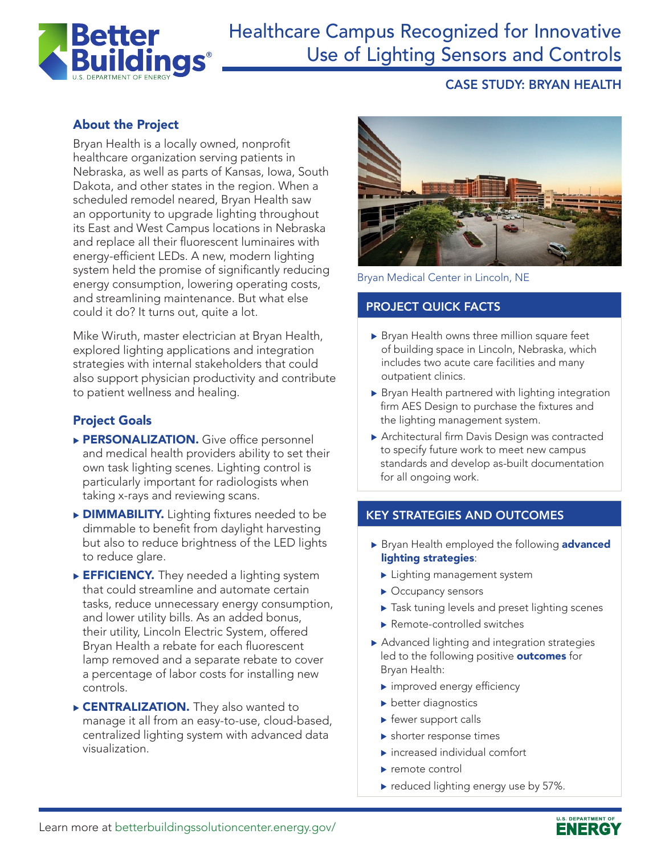

# Healthcare Campus Recognized for Innovative Use of Lighting Sensors and Controls

# CASE STUDY: BRYAN HEALTH

# About the Project

Bryan Health is a locally owned, nonprofit healthcare organization serving patients in Nebraska, as well as parts of Kansas, Iowa, South Dakota, and other states in the region. When a scheduled remodel neared, Bryan Health saw an opportunity to upgrade lighting throughout its East and West Campus locations in Nebraska and replace all their fluorescent luminaires with energy-efficient LEDs. A new, modern lighting system held the promise of significantly reducing energy consumption, lowering operating costs, and streamlining maintenance. But what else could it do? It turns out, quite a lot.

Mike Wiruth, master electrician at Bryan Health, explored lighting applications and integration strategies with internal stakeholders that could also support physician productivity and contribute to patient wellness and healing.

# Project Goals

- PERSONALIZATION. Give office personnel and medical health providers ability to set their own task lighting scenes. Lighting control is particularly important for radiologists when taking x-rays and reviewing scans.
- **DIMMABILITY.** Lighting fixtures needed to be dimmable to benefit from daylight harvesting but also to reduce brightness of the LED lights to reduce glare.
- EFFICIENCY. They needed a lighting system that could streamline and automate certain tasks, reduce unnecessary energy consumption, and lower utility bills. As an added bonus, their utility, Lincoln Electric System, offered Bryan Health a rebate for each fluorescent lamp removed and a separate rebate to cover a percentage of labor costs for installing new controls.
- **CENTRALIZATION.** They also wanted to manage it all from an easy-to-use, cloud-based, centralized lighting system with advanced data visualization.



Bryan Medical Center in Lincoln, NE

### PROJECT QUICK FACTS

- $\triangleright$  Bryan Health owns three million square feet of building space in Lincoln, Nebraska, which includes two acute care facilities and many outpatient clinics.
- $\triangleright$  Bryan Health partnered with lighting integration firm AES Design to purchase the fixtures and the lighting management system.
- Architectural firm Davis Design was contracted to specify future work to meet new campus standards and develop as-built documentation for all ongoing work.

#### KEY STRATEGIES AND OUTCOMES

- Bryan Health employed the following **advanced** lighting strategies:
	- $\blacktriangleright$  Lighting management system
	- $\blacktriangleright$  Occupancy sensors
	- $\blacktriangleright$  Task tuning levels and preset lighting scenes
	- $\blacktriangleright$  Remote-controlled switches
- $\blacktriangleright$  Advanced lighting and integration strategies led to the following positive **outcomes** for Bryan Health:
	- $\blacktriangleright$  improved energy efficiency
	- $\blacktriangleright$  better diagnostics
	- $\blacktriangleright$  fewer support calls
	- $\blacktriangleright$  shorter response times
	- $\blacktriangleright$  increased individual comfort
	- $\blacktriangleright$  remote control
	- $\blacktriangleright$  reduced lighting energy use by 57%.

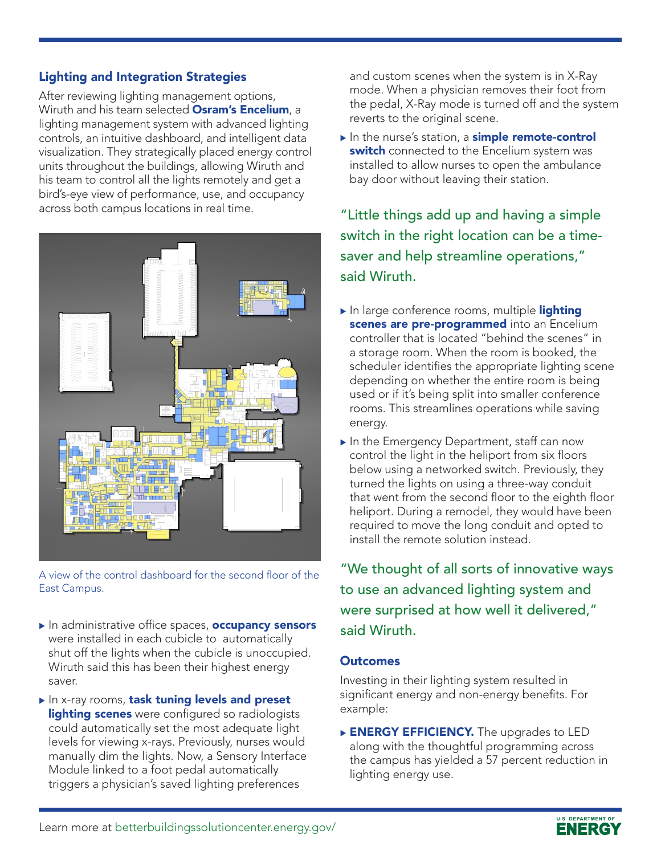## Lighting and Integration Strategies

After reviewing lighting management options, Wiruth and his team selected **Osram's Encelium**, a lighting management system with advanced lighting controls, an intuitive dashboard, and intelligent data visualization. They strategically placed energy control units throughout the buildings, allowing Wiruth and his team to control all the lights remotely and get a bird's-eye view of performance, use, and occupancy across both campus locations in real time.



A view of the control dashboard for the second floor of the East Campus.

- In administrative office spaces, **occupancy sensors** were installed in each cubicle to automatically shut off the lights when the cubicle is unoccupied. Wiruth said this has been their highest energy saver.
- In x-ray rooms, task tuning levels and preset lighting scenes were configured so radiologists could automatically set the most adequate light levels for viewing x-rays. Previously, nurses would manually dim the lights. Now, a Sensory Interface Module linked to a foot pedal automatically triggers a physician's saved lighting preferences

and custom scenes when the system is in X-Ray mode. When a physician removes their foot from the pedal, X-Ray mode is turned off and the system reverts to the original scene.

 $\blacktriangleright$  In the nurse's station, a simple remote-control switch connected to the Encelium system was installed to allow nurses to open the ambulance bay door without leaving their station.

"Little things add up and having a simple switch in the right location can be a timesaver and help streamline operations," said Wiruth.

- $\blacktriangleright$  In large conference rooms, multiple lighting scenes are pre-programmed into an Encelium controller that is located "behind the scenes" in a storage room. When the room is booked, the scheduler identifies the appropriate lighting scene depending on whether the entire room is being used or if it's being split into smaller conference rooms. This streamlines operations while saving energy.
- $\blacktriangleright$  In the Emergency Department, staff can now control the light in the heliport from six floors below using a networked switch. Previously, they turned the lights on using a three-way conduit that went from the second floor to the eighth floor heliport. During a remodel, they would have been required to move the long conduit and opted to install the remote solution instead.

"We thought of all sorts of innovative ways to use an advanced lighting system and were surprised at how well it delivered," said Wiruth.

#### **Outcomes**

Investing in their lighting system resulted in significant energy and non-energy benefits. For example:

**ENERGY EFFICIENCY.** The upgrades to LED along with the thoughtful programming across the campus has yielded a 57 percent reduction in lighting energy use.